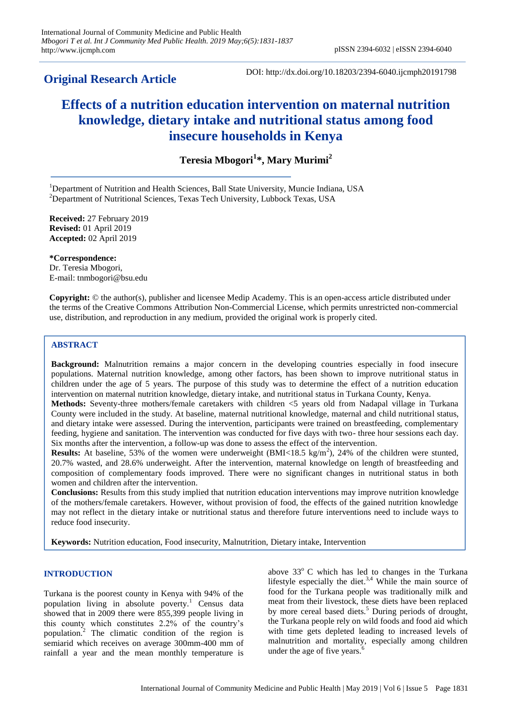# **Original Research Article**

DOI: http://dx.doi.org/10.18203/2394-6040.ijcmph20191798

# **Effects of a nutrition education intervention on maternal nutrition knowledge, dietary intake and nutritional status among food insecure households in Kenya**

**Teresia Mbogori<sup>1</sup> \*, Mary Murimi<sup>2</sup>**

<sup>1</sup>Department of Nutrition and Health Sciences, Ball State University, Muncie Indiana, USA <sup>2</sup>Department of Nutritional Sciences, Texas Tech University, Lubbock Texas, USA

**Received:** 27 February 2019 **Revised:** 01 April 2019 **Accepted:** 02 April 2019

**\*Correspondence:** Dr. Teresia Mbogori, E-mail: tnmbogori@bsu.edu

**Copyright:** © the author(s), publisher and licensee Medip Academy. This is an open-access article distributed under the terms of the Creative Commons Attribution Non-Commercial License, which permits unrestricted non-commercial use, distribution, and reproduction in any medium, provided the original work is properly cited.

# **ABSTRACT**

**Background:** Malnutrition remains a major concern in the developing countries especially in food insecure populations. Maternal nutrition knowledge, among other factors, has been shown to improve nutritional status in children under the age of 5 years. The purpose of this study was to determine the effect of a nutrition education intervention on maternal nutrition knowledge, dietary intake, and nutritional status in Turkana County, Kenya.

**Methods:** Seventy-three mothers/female caretakers with children <5 years old from Nadapal village in Turkana County were included in the study. At baseline, maternal nutritional knowledge, maternal and child nutritional status, and dietary intake were assessed. During the intervention, participants were trained on breastfeeding, complementary feeding, hygiene and sanitation. The intervention was conducted for five days with two- three hour sessions each day. Six months after the intervention, a follow-up was done to assess the effect of the intervention.

**Results:** At baseline, 53% of the women were underweight (BMI<18.5 kg/m<sup>2</sup>), 24% of the children were stunted, 20.7% wasted, and 28.6% underweight. After the intervention, maternal knowledge on length of breastfeeding and composition of complementary foods improved. There were no significant changes in nutritional status in both women and children after the intervention.

**Conclusions:** Results from this study implied that nutrition education interventions may improve nutrition knowledge of the mothers/female caretakers. However, without provision of food, the effects of the gained nutrition knowledge may not reflect in the dietary intake or nutritional status and therefore future interventions need to include ways to reduce food insecurity.

**Keywords:** Nutrition education, Food insecurity, Malnutrition, Dietary intake, Intervention

# **INTRODUCTION**

Turkana is the poorest county in Kenya with 94% of the population living in absolute poverty.<sup>1</sup> Census data showed that in 2009 there were 855,399 people living in this county which constitutes 2.2% of the country's population.<sup>2</sup> The climatic condition of the region is semiarid which receives on average 300mm-400 mm of rainfall a year and the mean monthly temperature is above  $33^{\circ}$  C which has led to changes in the Turkana lifestyle especially the diet. $3,4$  While the main source of food for the Turkana people was traditionally milk and meat from their livestock, these diets have been replaced by more cereal based diets.<sup>5</sup> During periods of drought, the Turkana people rely on wild foods and food aid which with time gets depleted leading to increased levels of malnutrition and mortality, especially among children under the age of five years.<sup>6</sup>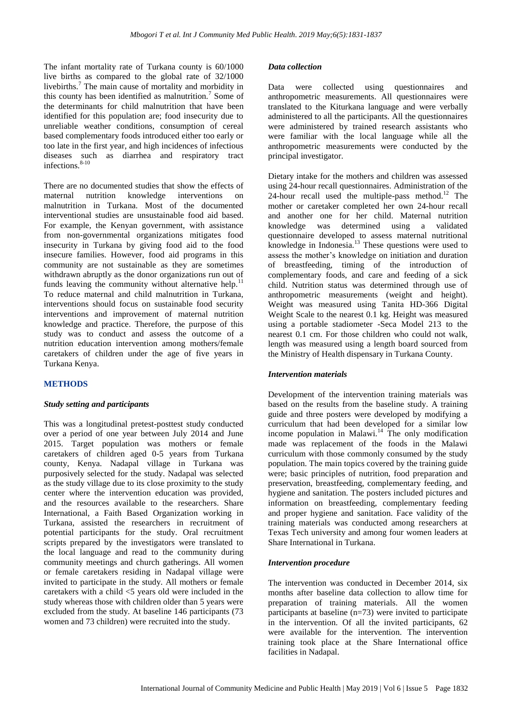The infant mortality rate of Turkana county is 60/1000 live births as compared to the global rate of 32/1000 livebirths.<sup>7</sup> The main cause of mortality and morbidity in this county has been identified as malnutrition.<sup>7</sup> Some of the determinants for child malnutrition that have been identified for this population are; food insecurity due to unreliable weather conditions, consumption of cereal based complementary foods introduced either too early or too late in the first year, and high incidences of infectious diseases such as diarrhea and respiratory tract infections.<sup>8-10</sup>

There are no documented studies that show the effects of maternal nutrition knowledge interventions on malnutrition in Turkana. Most of the documented interventional studies are unsustainable food aid based. For example, the Kenyan government, with assistance from non-governmental organizations mitigates food insecurity in Turkana by giving food aid to the food insecure families. However, food aid programs in this community are not sustainable as they are sometimes withdrawn abruptly as the donor organizations run out of funds leaving the community without alternative help.<sup>11</sup> To reduce maternal and child malnutrition in Turkana, interventions should focus on sustainable food security interventions and improvement of maternal nutrition knowledge and practice. Therefore, the purpose of this study was to conduct and assess the outcome of a nutrition education intervention among mothers/female caretakers of children under the age of five years in Turkana Kenya.

# **METHODS**

#### *Study setting and participants*

This was a longitudinal pretest-posttest study conducted over a period of one year between July 2014 and June 2015. Target population was mothers or female caretakers of children aged 0-5 years from Turkana county, Kenya. Nadapal village in Turkana was purposively selected for the study. Nadapal was selected as the study village due to its close proximity to the study center where the intervention education was provided, and the resources available to the researchers. Share International, a Faith Based Organization working in Turkana, assisted the researchers in recruitment of potential participants for the study. Oral recruitment scripts prepared by the investigators were translated to the local language and read to the community during community meetings and church gatherings. All women or female caretakers residing in Nadapal village were invited to participate in the study. All mothers or female caretakers with a child <5 years old were included in the study whereas those with children older than 5 years were excluded from the study. At baseline 146 participants (73 women and 73 children) were recruited into the study.

#### *Data collection*

Data were collected using questionnaires and anthropometric measurements. All questionnaires were translated to the Kiturkana language and were verbally administered to all the participants. All the questionnaires were administered by trained research assistants who were familiar with the local language while all the anthropometric measurements were conducted by the principal investigator.

Dietary intake for the mothers and children was assessed using 24-hour recall questionnaires. Administration of the 24-hour recall used the multiple-pass method.<sup>12</sup> The mother or caretaker completed her own 24-hour recall and another one for her child. Maternal nutrition knowledge was determined using a validated questionnaire developed to assess maternal nutritional knowledge in Indonesia.<sup>13</sup> These questions were used to assess the mother's knowledge on initiation and duration of breastfeeding, timing of the introduction of complementary foods, and care and feeding of a sick child. Nutrition status was determined through use of anthropometric measurements (weight and height). Weight was measured using Tanita HD-366 Digital Weight Scale to the nearest 0.1 kg. Height was measured using a portable stadiometer -Seca Model 213 to the nearest 0.1 cm. For those children who could not walk, length was measured using a length board sourced from the Ministry of Health dispensary in Turkana County.

#### *Intervention materials*

Development of the intervention training materials was based on the results from the baseline study. A training guide and three posters were developed by modifying a curriculum that had been developed for a similar low income population in Malawi.<sup>14</sup> The only modification made was replacement of the foods in the Malawi curriculum with those commonly consumed by the study population. The main topics covered by the training guide were; basic principles of nutrition, food preparation and preservation, breastfeeding, complementary feeding, and hygiene and sanitation. The posters included pictures and information on breastfeeding, complementary feeding and proper hygiene and sanitation. Face validity of the training materials was conducted among researchers at Texas Tech university and among four women leaders at Share International in Turkana.

#### *Intervention procedure*

The intervention was conducted in December 2014, six months after baseline data collection to allow time for preparation of training materials. All the women participants at baseline (n=73) were invited to participate in the intervention. Of all the invited participants, 62 were available for the intervention. The intervention training took place at the Share International office facilities in Nadapal.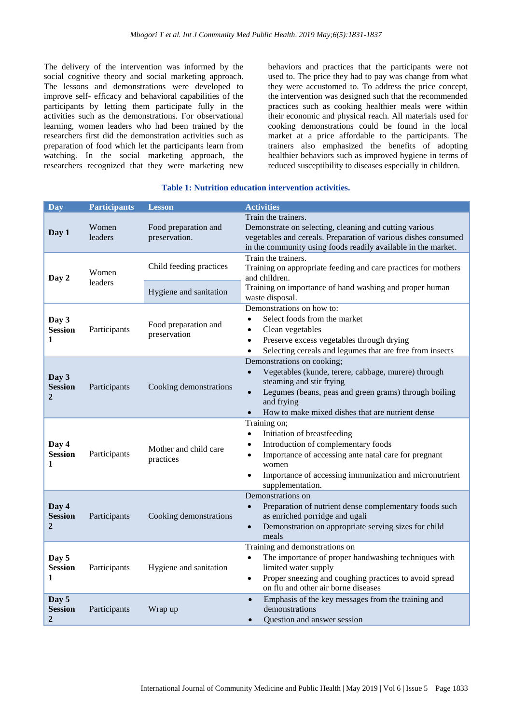The delivery of the intervention was informed by the social cognitive theory and social marketing approach. The lessons and demonstrations were developed to improve self- efficacy and behavioral capabilities of the participants by letting them participate fully in the activities such as the demonstrations. For observational learning, women leaders who had been trained by the researchers first did the demonstration activities such as preparation of food which let the participants learn from watching. In the social marketing approach, the researchers recognized that they were marketing new

behaviors and practices that the participants were not used to. The price they had to pay was change from what they were accustomed to. To address the price concept, the intervention was designed such that the recommended practices such as cooking healthier meals were within their economic and physical reach. All materials used for cooking demonstrations could be found in the local market at a price affordable to the participants. The trainers also emphasized the benefits of adopting healthier behaviors such as improved hygiene in terms of reduced susceptibility to diseases especially in children.

| Day                                       | <b>Participants</b> | <b>Lesson</b>                             | <b>Activities</b>                                                                                                                                                                                                                                                                     |  |
|-------------------------------------------|---------------------|-------------------------------------------|---------------------------------------------------------------------------------------------------------------------------------------------------------------------------------------------------------------------------------------------------------------------------------------|--|
| Day 1                                     | Women<br>leaders    | Food preparation and<br>preservation.     | Train the trainers.<br>Demonstrate on selecting, cleaning and cutting various<br>vegetables and cereals. Preparation of various dishes consumed<br>in the community using foods readily available in the market.                                                                      |  |
| Day 2                                     | Women               | Child feeding practices                   | Train the trainers.<br>Training on appropriate feeding and care practices for mothers<br>and children.                                                                                                                                                                                |  |
|                                           | leaders             | Hygiene and sanitation<br>waste disposal. | Training on importance of hand washing and proper human                                                                                                                                                                                                                               |  |
| Day 3<br><b>Session</b><br>1              | Participants        | Food preparation and<br>preservation      | Demonstrations on how to:<br>Select foods from the market<br>$\bullet$<br>Clean vegetables<br>$\bullet$<br>Preserve excess vegetables through drying<br>$\bullet$<br>Selecting cereals and legumes that are free from insects<br>$\bullet$                                            |  |
| Day 3<br><b>Session</b><br>$\overline{2}$ | Participants        | Cooking demonstrations                    | Demonstrations on cooking;<br>Vegetables (kunde, terere, cabbage, murere) through<br>$\bullet$<br>steaming and stir frying<br>Legumes (beans, peas and green grams) through boiling<br>$\bullet$<br>and frying<br>How to make mixed dishes that are nutrient dense<br>$\bullet$       |  |
| Day 4<br><b>Session</b><br>1              | Participants        | Mother and child care<br>practices        | Training on;<br>Initiation of breastfeeding<br>$\bullet$<br>Introduction of complementary foods<br>$\bullet$<br>Importance of accessing ante natal care for pregnant<br>$\bullet$<br>women<br>Importance of accessing immunization and micronutrient<br>$\bullet$<br>supplementation. |  |
| Day 4<br><b>Session</b><br>$\overline{2}$ | Participants        | Cooking demonstrations                    | Demonstrations on<br>Preparation of nutrient dense complementary foods such<br>$\bullet$<br>as enriched porridge and ugali<br>Demonstration on appropriate serving sizes for child<br>$\bullet$<br>meals                                                                              |  |
| Day 5<br><b>Session</b><br>1              | Participants        | Hygiene and sanitation                    | Training and demonstrations on<br>The importance of proper handwashing techniques with<br>limited water supply<br>Proper sneezing and coughing practices to avoid spread<br>$\bullet$<br>on flu and other air borne diseases                                                          |  |
| Day 5<br><b>Session</b><br>$\overline{2}$ | Participants        | Wrap up                                   | Emphasis of the key messages from the training and<br>$\bullet$<br>demonstrations<br>Question and answer session<br>$\bullet$                                                                                                                                                         |  |

#### **Table 1: Nutrition education intervention activities.**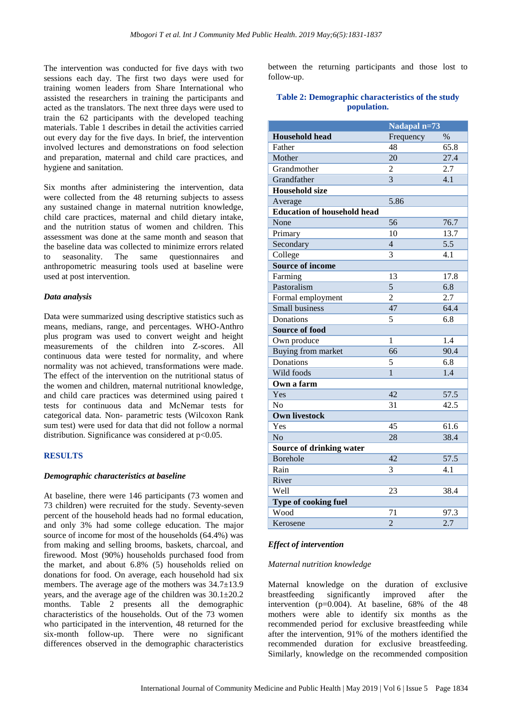The intervention was conducted for five days with two sessions each day. The first two days were used for training women leaders from Share International who assisted the researchers in training the participants and acted as the translators. The next three days were used to train the 62 participants with the developed teaching materials. Table 1 describes in detail the activities carried out every day for the five days. In brief, the intervention involved lectures and demonstrations on food selection and preparation, maternal and child care practices, and hygiene and sanitation.

Six months after administering the intervention, data were collected from the 48 returning subjects to assess any sustained change in maternal nutrition knowledge, child care practices, maternal and child dietary intake, and the nutrition status of women and children. This assessment was done at the same month and season that the baseline data was collected to minimize errors related to seasonality. The same questionnaires and anthropometric measuring tools used at baseline were used at post intervention.

# *Data analysis*

Data were summarized using descriptive statistics such as means, medians, range, and percentages. WHO-Anthro plus program was used to convert weight and height measurements of the children into Z-scores. All continuous data were tested for normality, and where normality was not achieved, transformations were made. The effect of the intervention on the nutritional status of the women and children, maternal nutritional knowledge, and child care practices was determined using paired t tests for continuous data and McNemar tests for categorical data. Non- parametric tests (Wilcoxon Rank sum test) were used for data that did not follow a normal distribution. Significance was considered at p<0.05.

#### **RESULTS**

# *Demographic characteristics at baseline*

At baseline, there were 146 participants (73 women and 73 children) were recruited for the study. Seventy-seven percent of the household heads had no formal education, and only 3% had some college education. The major source of income for most of the households (64.4%) was from making and selling brooms, baskets, charcoal, and firewood. Most (90%) households purchased food from the market, and about 6.8% (5) households relied on donations for food. On average, each household had six members. The average age of the mothers was 34.7±13.9 years, and the average age of the children was 30.1±20.2 months. Table 2 presents all the demographic characteristics of the households. Out of the 73 women who participated in the intervention, 48 returned for the six-month follow-up. There were no significant differences observed in the demographic characteristics between the returning participants and those lost to follow-up.

# **Table 2: Demographic characteristics of the study population.**

|                                    | Nadapal n=73    |                  |  |  |
|------------------------------------|-----------------|------------------|--|--|
| <b>Household head</b>              | Frequency       | $\%$             |  |  |
| Father                             | 48              | 65.8             |  |  |
| Mother                             | 20              | 27.4             |  |  |
| Grandmother                        | $\overline{c}$  | 2.7              |  |  |
| Grandfather                        | 3               | 4.1              |  |  |
| <b>Household size</b>              |                 |                  |  |  |
| Average                            | 5.86            |                  |  |  |
| <b>Education of household head</b> |                 |                  |  |  |
| None                               | $\overline{56}$ | 76.7             |  |  |
| Primary                            | 10              | 13.7             |  |  |
| Secondary                          | $\overline{4}$  | $\overline{5.5}$ |  |  |
| College                            | 3               | 4.1              |  |  |
| <b>Source of income</b>            |                 |                  |  |  |
| Farming                            | 13              | 17.8             |  |  |
| Pastoralism                        | $\overline{5}$  | 6.8              |  |  |
| Formal employment                  | $\overline{2}$  | 2.7              |  |  |
| Small business                     | 47              | 64.4             |  |  |
| Donations                          | 5               | 6.8              |  |  |
| <b>Source of food</b>              |                 |                  |  |  |
| Own produce                        | 1               | 1.4              |  |  |
| Buying from market                 | 66              | 90.4             |  |  |
| Donations                          | 5               | 6.8              |  |  |
| Wild foods                         | $\mathbf{1}$    | 1.4              |  |  |
| Own a farm                         |                 |                  |  |  |
| Yes                                | 42              | 57.5             |  |  |
| No                                 | 31              | 42.5             |  |  |
| <b>Own livestock</b>               |                 |                  |  |  |
| Yes                                | 45              | 61.6             |  |  |
| N <sub>o</sub>                     | 28              | 38.4             |  |  |
| <b>Source of drinking water</b>    |                 |                  |  |  |
| <b>Borehole</b>                    | 42              | 57.5             |  |  |
| Rain                               | 3               | 4.1              |  |  |
| River                              |                 |                  |  |  |
| Well                               | 23              | 38.4             |  |  |
| Type of cooking fuel               |                 |                  |  |  |
| Wood                               | 71              | 97.3             |  |  |
| Kerosene                           | $\overline{2}$  | 2.7              |  |  |

#### *Effect of intervention*

#### *Maternal nutrition knowledge*

Maternal knowledge on the duration of exclusive breastfeeding significantly improved after the intervention ( $p=0.004$ ). At baseline, 68% of the 48 mothers were able to identify six months as the recommended period for exclusive breastfeeding while after the intervention, 91% of the mothers identified the recommended duration for exclusive breastfeeding. Similarly, knowledge on the recommended composition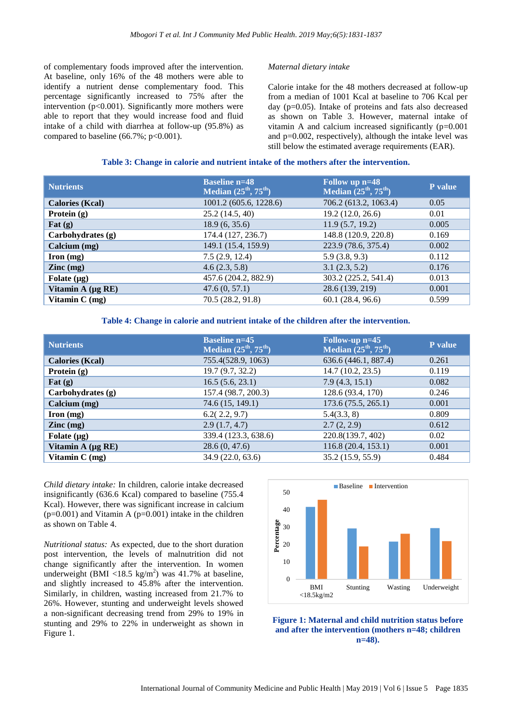of complementary foods improved after the intervention. At baseline, only 16% of the 48 mothers were able to identify a nutrient dense complementary food. This percentage significantly increased to 75% after the intervention (p<0.001). Significantly more mothers were able to report that they would increase food and fluid intake of a child with diarrhea at follow-up (95.8%) as compared to baseline (66.7%; p<0.001).

#### *Maternal dietary intake*

Calorie intake for the 48 mothers decreased at follow-up from a median of 1001 Kcal at baseline to 706 Kcal per day (p=0.05). Intake of proteins and fats also decreased as shown on Table 3. However, maternal intake of vitamin A and calcium increased significantly (p=0.001 and p=0.002, respectively), although the intake level was still below the estimated average requirements (EAR).

#### **Table 3: Change in calorie and nutrient intake of the mothers after the intervention.**

| <b>Nutrients</b>                       | <b>Baseline n=48</b><br>Median $(25^{\text{th}}, 75^{\text{th}})$ | Follow up n=48<br>Median $(25th, 75th)$ | P value |
|----------------------------------------|-------------------------------------------------------------------|-----------------------------------------|---------|
| <b>Calories (Kcal)</b>                 | 1001.2 (605.6, 1228.6)                                            | 706.2 (613.2, 1063.4)                   | 0.05    |
| Protein $(g)$                          | 25.2(14.5, 40)                                                    | 19.2(12.0, 26.6)                        | 0.01    |
| $\text{Fat}(\mathbf{g})$               | 18.9(6, 35.6)                                                     | 11.9(5.7, 19.2)                         | 0.005   |
| Carbohydrates (g)                      | 174.4 (127, 236.7)                                                | 148.8 (120.9, 220.8)                    | 0.169   |
| Calcium (mg)                           | 149.1 (15.4, 159.9)                                               | 223.9 (78.6, 375.4)                     | 0.002   |
| $\Gamma$ Iron (mg)                     | 7.5(2.9, 12.4)                                                    | 5.9(3.8, 9.3)                           | 0.112   |
| $\text{Zinc} \left( \text{mg} \right)$ | 4.6(2.3, 5.8)                                                     | 3.1(2.3, 5.2)                           | 0.176   |
| Folate $(\mu g)$                       | 457.6 (204.2, 882.9)                                              | 303.2 (225.2, 541.4)                    | 0.013   |
| Vitamin A (µg RE)                      | 47.6(0, 57.1)                                                     | 28.6 (139, 219)                         | 0.001   |
| Vitamin $C$ (mg)                       | 70.5 (28.2, 91.8)                                                 | 60.1(28.4, 96.6)                        | 0.599   |

**Table 4: Change in calorie and nutrient intake of the children after the intervention.**

| <b>Nutrients</b>                       | <b>Baseline n=45</b><br>Median $(25th, 75th)$ | Follow-up n=45<br>Median $(25th, 75th)$ | P value |
|----------------------------------------|-----------------------------------------------|-----------------------------------------|---------|
| <b>Calories (Kcal)</b>                 | 755.4(528.9, 1063)                            | 636.6 (446.1, 887.4)                    | 0.261   |
| Protein $(g)$                          | 19.7 (9.7, 32.2)                              | 14.7(10.2, 23.5)                        | 0.119   |
| $\mathbf{Fat}(\mathbf{g})$             | 16.5(5.6, 23.1)                               | 7.9(4.3, 15.1)                          | 0.082   |
| Carbohydrates (g)                      | 157.4 (98.7, 200.3)                           | 128.6 (93.4, 170)                       | 0.246   |
| Calcium (mg)                           | 74.6(15, 149.1)                               | 173.6(75.5, 265.1)                      | 0.001   |
| $\Gamma$ Iron (mg)                     | 6.2(2.2, 9.7)                                 | 5.4(3.3, 8)                             | 0.809   |
| $\text{Zinc} \left( \text{mg} \right)$ | 2.9(1.7, 4.7)                                 | 2.7(2, 2.9)                             | 0.612   |
| Folate $(\mu g)$                       | 339.4 (123.3, 638.6)                          | 220.8(139.7, 402)                       | 0.02    |
| Vitamin $A(\mu g RE)$                  | 28.6(0, 47.6)                                 | 116.8 (20.4, 153.1)                     | 0.001   |
| Vitamin $C$ (mg)                       | 34.9(22.0, 63.6)                              | 35.2(15.9, 55.9)                        | 0.484   |

*Child dietary intake:* In children, calorie intake decreased insignificantly (636.6 Kcal) compared to baseline (755.4 Kcal). However, there was significant increase in calcium  $(p=0.001)$  and Vitamin A  $(p=0.001)$  intake in the children as shown on Table 4.

*Nutritional status:* As expected, due to the short duration post intervention, the levels of malnutrition did not change significantly after the intervention. In women underweight (BMI <18.5 kg/m<sup>2</sup>) was 41.7% at baseline, and slightly increased to 45.8% after the intervention. Similarly, in children, wasting increased from 21.7% to 26%. However, stunting and underweight levels showed a non-significant decreasing trend from 29% to 19% in stunting and 29% to 22% in underweight as shown in Figure 1.



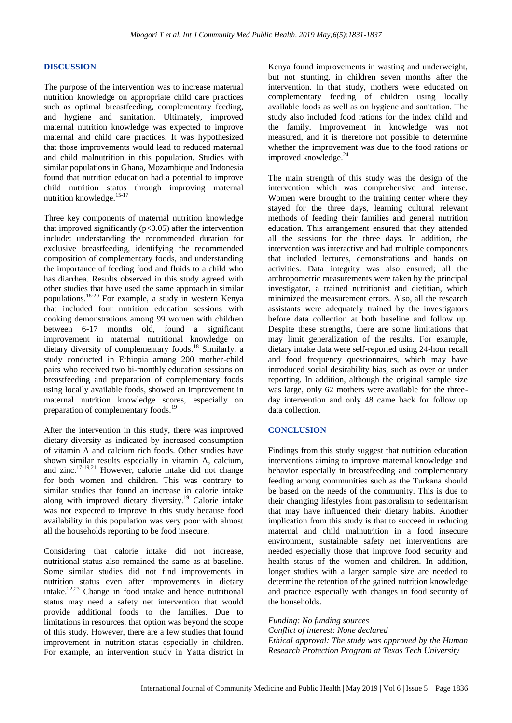### **DISCUSSION**

The purpose of the intervention was to increase maternal nutrition knowledge on appropriate child care practices such as optimal breastfeeding, complementary feeding, and hygiene and sanitation. Ultimately, improved maternal nutrition knowledge was expected to improve maternal and child care practices. It was hypothesized that those improvements would lead to reduced maternal and child malnutrition in this population. Studies with similar populations in Ghana, Mozambique and Indonesia found that nutrition education had a potential to improve child nutrition status through improving maternal nutrition knowledge.<sup>15-17</sup>

Three key components of maternal nutrition knowledge that improved significantly  $(p<0.05)$  after the intervention include: understanding the recommended duration for exclusive breastfeeding, identifying the recommended composition of complementary foods, and understanding the importance of feeding food and fluids to a child who has diarrhea. Results observed in this study agreed with other studies that have used the same approach in similar populations. 18-20 For example, a study in western Kenya that included four nutrition education sessions with cooking demonstrations among 99 women with children between 6-17 months old, found a significant improvement in maternal nutritional knowledge on dietary diversity of complementary foods.<sup>18</sup> Similarly, a study conducted in Ethiopia among 200 mother-child pairs who received two bi-monthly education sessions on breastfeeding and preparation of complementary foods using locally available foods, showed an improvement in maternal nutrition knowledge scores, especially on preparation of complementary foods.<sup>19</sup>

After the intervention in this study, there was improved dietary diversity as indicated by increased consumption of vitamin A and calcium rich foods. Other studies have shown similar results especially in vitamin A, calcium, and zinc.17-19,21 However, calorie intake did not change for both women and children. This was contrary to similar studies that found an increase in calorie intake along with improved dietary diversity.<sup>19</sup> Calorie intake was not expected to improve in this study because food availability in this population was very poor with almost all the households reporting to be food insecure.

Considering that calorie intake did not increase, nutritional status also remained the same as at baseline. Some similar studies did not find improvements in nutrition status even after improvements in dietary intake. $22,23$  Change in food intake and hence nutritional status may need a safety net intervention that would provide additional foods to the families. Due to limitations in resources, that option was beyond the scope of this study. However, there are a few studies that found improvement in nutrition status especially in children. For example, an intervention study in Yatta district in Kenya found improvements in wasting and underweight, but not stunting, in children seven months after the intervention. In that study, mothers were educated on complementary feeding of children using locally available foods as well as on hygiene and sanitation. The study also included food rations for the index child and the family. Improvement in knowledge was not measured, and it is therefore not possible to determine whether the improvement was due to the food rations or improved knowledge.<sup>24</sup>

The main strength of this study was the design of the intervention which was comprehensive and intense. Women were brought to the training center where they stayed for the three days, learning cultural relevant methods of feeding their families and general nutrition education. This arrangement ensured that they attended all the sessions for the three days. In addition, the intervention was interactive and had multiple components that included lectures, demonstrations and hands on activities. Data integrity was also ensured; all the anthropometric measurements were taken by the principal investigator, a trained nutritionist and dietitian, which minimized the measurement errors. Also, all the research assistants were adequately trained by the investigators before data collection at both baseline and follow up. Despite these strengths, there are some limitations that may limit generalization of the results. For example, dietary intake data were self-reported using 24-hour recall and food frequency questionnaires, which may have introduced social desirability bias, such as over or under reporting. In addition, although the original sample size was large, only 62 mothers were available for the threeday intervention and only 48 came back for follow up data collection.

#### **CONCLUSION**

Findings from this study suggest that nutrition education interventions aiming to improve maternal knowledge and behavior especially in breastfeeding and complementary feeding among communities such as the Turkana should be based on the needs of the community. This is due to their changing lifestyles from pastoralism to sedentarism that may have influenced their dietary habits. Another implication from this study is that to succeed in reducing maternal and child malnutrition in a food insecure environment, sustainable safety net interventions are needed especially those that improve food security and health status of the women and children. In addition, longer studies with a larger sample size are needed to determine the retention of the gained nutrition knowledge and practice especially with changes in food security of the households.

*Funding: No funding sources Conflict of interest: None declared Ethical approval: The study was approved by the Human Research Protection Program at Texas Tech University*